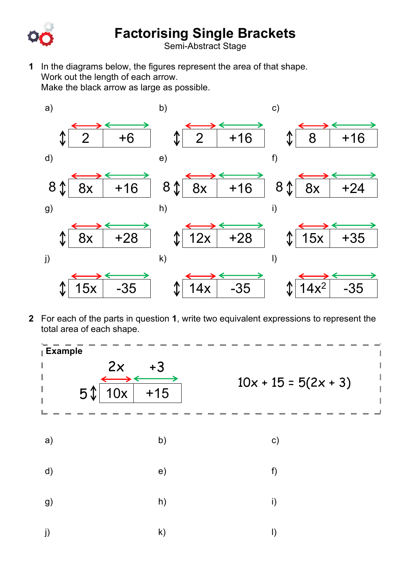

## **Factorising Single Brackets**

Semi-Abstract Stage

**1** In the diagrams below, the figures represent the area of that shape. Work out the length of each arrow. Make the black arrow as large as possible.



**2** For each of the parts in question **1**, write two equivalent expressions to represent the total area of each shape.